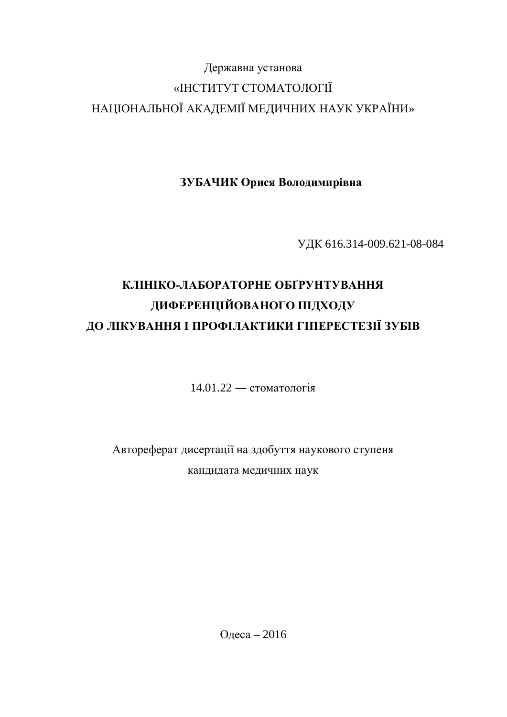# Державна установа «ІНСТИТУТ СТОМАТОЛОГІЇ НАЦІОНАЛЬНОЇ АКАДЕМІЇ МЕДИЧНИХ НАУК УКРАЇНИ»

ЗУБАЧИК Орися Володимирівна

ɍȾɄ 616.314-009.621-08-084

# КЛІНІКО-ЛАБОРАТОРНЕ ОБҐРУНТУВАННЯ ДИФЕРЕНЦІЙОВАНОГО ПІДХОДУ ДО ЛІКУВАННЯ І ПРОФІЛАКТИКИ ГІПЕРЕСТЕЗІЇ ЗУБІВ

 $14.01.22 -$  стоматологія

Автореферат дисертації на здобуття наукового ступеня кандидата медичних наук

Одеса – 2016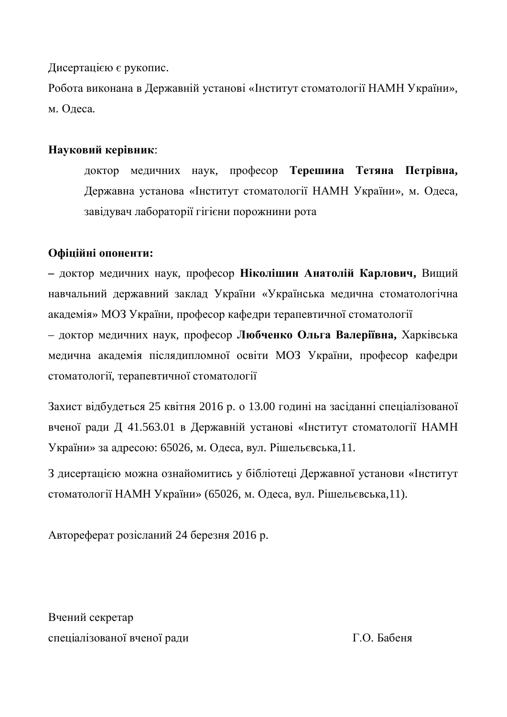Дисертацією є рукопис.

Робота виконана в Державній установі «Інститут стоматології НАМН України», м. Олеса.

## Науковий керівник:

доктор медичних наук, професор Терешина Тетяна Петрівна, Державна установа «Інститут стоматології НАМН України», м. Одеса, завідувач лабораторії гігієни порожнини рота

## Офіційні опоненти:

– доктор медичних наук, професор Ніколішин Анатолій Карлович, Вищий навчальний державний заклад України «Українська медична стоматологічна академія» МОЗ України, професор кафедри терапевтичної стоматології

– доктор медичних наук, професор Любченко Ольга Валеріївна, Харківська медична академія післядипломної освіти МОЗ України, професор кафедри стоматології, терапевтичної стоматології

Захист відбудеться 25 квітня 2016 р. о 13.00 годині на засіданні спеціалізованої вченої ради Д 41.563.01 в Державній установі «Інститут стоматології НАМН України» за адресою: 65026, м. Одеса, вул. Рішельєвська,11.

З дисертацією можна ознайомитись у бібліотеці Державної установи «Інститут стоматології НАМН України» (65026, м. Одеса, вул. Рішельєвська,11).

Автореферат розісланий 24 березня 2016 р.

Вчений секретар спеціалізованої вченої ради П.О. Бабеня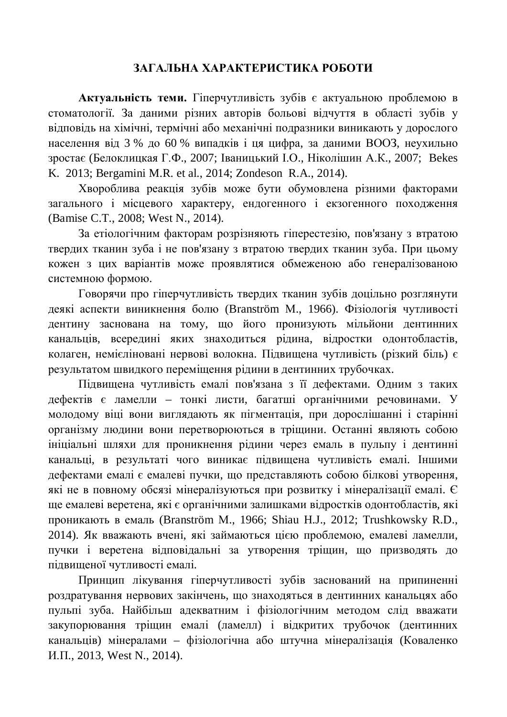## ЗАГАЛЬНА ХАРАКТЕРИСТИКА РОБОТИ

Актуальність теми. Гіперчутливість зубів є актуальною проблемою в стоматології. За даними різних авторів больові відчуття в області зубів у вілповіль на хімічні, термічні або механічні полразники виникають у лорослого населення від 3 % до 60 % випадків і ця цифра, за даними ВООЗ, неухильно зростає (Белоклицкая Г.Ф., 2007; Іваницький І.О., Ніколішин А.К., 2007; Bekes K. 2013; Bergamini M.R. et al., 2014; Zondeson R.A., 2014).

Хвороблива реакція зубів може бути обумовлена різними факторами загального і місцевого характеру, ендогенного і екзогенного походження (Bamise C.T., 2008; West N., 2014).

За етіологічним факторам розрізняють гіперестезію, пов'язану з втратою твердих тканин зуба і не пов'язану з втратою твердих тканин зуба. При цьому кожен з цих варіантів може проявлятися обмеженою або генералізованою системною формою.

Говорячи про гіперчутливість твердих тканин зубів доцільно розглянути деякі аспекти виникнення болю (Branström М., 1966). Фізіологія чутливості дентину заснована на тому, що його пронизують мільйони дентинних канальців, всередині яких знаходиться рідина, відростки одонтобластів, колаген, немієліновані нервові волокна. Підвищена чутливість (різкий біль) є результатом швидкого переміщення рідини в дентинних трубочках.

Підвищена чутливість емалі пов'язана з її дефектами. Одним з таких дефектів є ламелли – тонкі листи, багатші органічними речовинами. У молодому віці вони виглядають як пігментація, при дорослішанні і старінні організму людини вони перетворюються в тріщини. Останні являють собою ініціальні шляхи для проникнення рідини через емаль в пульпу і дентинні канальці, в результаті чого виникає підвищена чутливість емалі. Іншими дефектами емалі є емалеві пучки, що представляють собою білкові утворення, які не в повному обсязі мінералізуються при розвитку і мінералізації емалі. Є ще емалеві веретена, які є органічними залишками відростків одонтобластів, які проникають в емаль (Branström M., 1966; Shiau H.J., 2012; Trushkowsky R.D., 2014). Як вважають вчені, які займаються цією проблемою, емалеві ламелли, пучки і веретена відповідальні за утворення тріщин, що призводять до підвищеної чутливості емалі.

Принцип лікування гіперчутливості зубів заснований на припиненні роздратування нервових закінчень, що знаходяться в дентинних канальцях або пульпі зуба. Найбільш адекватним і фізіологічним методом слід вважати закупорювання тріщин емалі (ламелл) і відкритих трубочок (дентинних канальців) мінералами – фізіологічна або штучна мінералізація (Коваленко И.П., 2013, West N., 2014).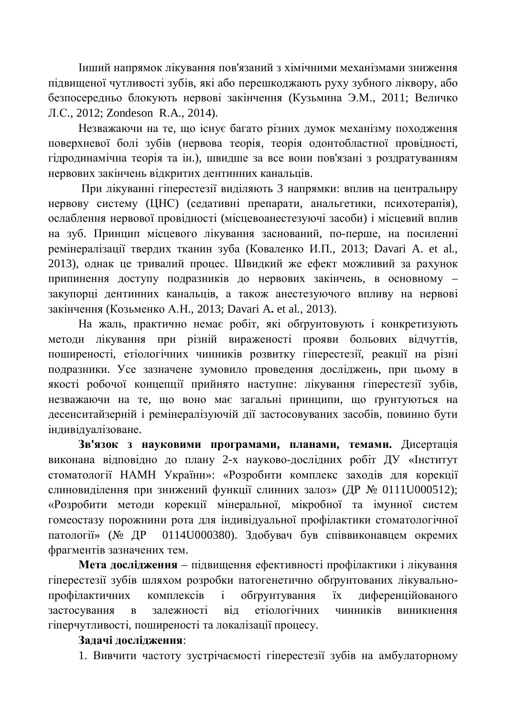Інший напрямок лікування пов'язаний з хімічними механізмами зниження підвищеної чутливості зубів, які або перешкоджають руху зубного ліквору, або безпосерелньо блокують нервові закінчення (Кузьмина Э.М., 2011; Величко Ʌɋ., 2012; Zondeson R.A., 2014).

Незважаючи на те, що існує багато різних думок механізму походження поверхневої болі зубів (нервова теорія, теорія одонтобластної провідності, гідродинамічна теорія та ін.), швидше за все вони пов'язані з роздратуванням нервових закінчень вілкритих лентинних канальців.

При лікуванні гіперестезії виділяють 3 напрямки: вплив на центральнру нервову систему (ЦНС) (седативні препарати, анальгетики, психотерапія), ослаблення нервової провідності (місцевоанестезуючі засоби) і місцевий вплив на зуб. Принцип місцевого лікування заснований, по-перше, на посиленні ремінералізації твердих тканин зуба (Коваленко И.П., 2013; Davari A. et al., 2013), однак це тривалий процес. Швидкий же ефект можливий за рахунок припинення доступу подразників до нервових закінчень, в основному – закупорці дентинних канальців, а також анестезуючого впливу на нервові закінчення (Козьменко А.Н., 2013; Davari A. et al., 2013).

На жаль, практично немає робіт, які обґрунтовують і конкретизують методи лікування при різній вираженості прояви больових відчуттів, поширеності, етіологічних чинників розвитку гіперестезії, реакції на різні подразники. Усе зазначене зумовило проведення досліджень, при цьому в якості робочої концепції прийнято наступне: лікування гіперестезії зубів, незважаючи на те, що воно має загальні принципи, що ґрунтуються на десенситайзерній і ремінералізуючій дії застосовуваних засобів, повинно бути індивілуалізоване.

Зв'язок з науковими програмами, планами, темами. Дисертація виконана відповідно до плану 2-х науково-дослідних робіт ДУ «Інститут стоматології НАМН України»: «Розробити комплекс заходів для корекції слиновиділення при знижений функції слинних залоз» (ДР № 0111U000512); «Розробити методи корекції мінеральної, мікробної та імунної систем гомеостазу порожнини рота для індивідуальної профілактики стоматологічної патології» (№ ДР 0114U000380). Здобувач був співвиконавцем окремих фрагментів зазначених тем.

Мета дослідження – підвищення ефективності профілактики і лікування гіперестезії зубів шляхом розробки патогенетично обґрунтованих лікувальнопрофілактичних комплексів і обтрунтування їх диференційованого застосування в залежності віл етіологічних чинників виникнення гіперчутливості, поширеності та локалізації процесу.

## Задачі дослідження:

1. Вивчити частоту зустрічаємості гіперестезії зубів на амбулаторному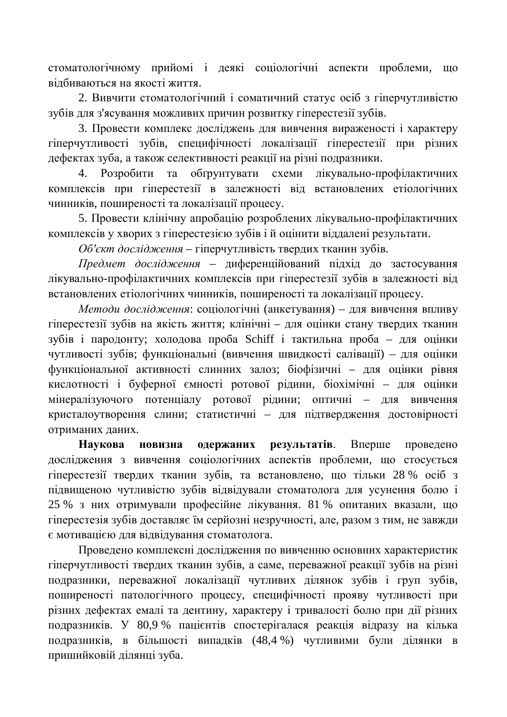стоматологічному прийомі і деякі соціологічні аспекти проблеми, що вілбиваються на якості життя.

2. Вивчити стоматологічний і соматичний статус осіб з гіперчутливістю зубів для з'ясування можливих причин розвитку гіперестезії зубів.

3. Провести комплекс досліджень для вивчення вираженості і характеру гіперчутливості зубів, специфічності локалізації гіперестезії при різних дефектах зуба, а також селективності реакції на різні подразники.

4. Розробити та обґрунтувати схеми лікувально-профілактичних комплексів при гіперестезії в залежності від встановлених етіологічних чинників, поширеності та локалізації процесу.

5. Провести клінічну апробацію розроблених лікувально-профілактичних комплексів у хворих з гіперестезією зубів і й оцінити віддалені результати.

Об'єкт дослідження - гіперчутливість твердих тканин зубів.

Предмет дослідження – диференційований підхід до застосування лікувально-профілактичних комплексів при гіперестезії зубів в залежності від встановлених етіологічних чинників, поширеності та локалізації процесу.

*Методи дослідження*: соціологічні (анкетування) – для вивчення впливу гіперестезії зубів на якість життя; клінічні – для оцінки стану твердих тканин зубів і пародонту; холодова проба Schiff і тактильна проба – для оцінки чутливості зубів; функціональні (вивчення швидкості салівації) – для оцінки функціональної активності слинних залоз; біофізичні – для оцінки рівня кислотності і буферної ємності ротової рідини, біохімічні – для оцінки мінералізуючого потенціалу ротової рідини; оптичні – для вивчення кристалоутворення слини; статистичні – для підтвердження достовірності отриманих даних.

Наукова новизна одержаних результатів. Вперше проведено дослідження з вивчення соціологічних аспектів проблеми, що стосується гіперестезії твердих тканин зубів, та встановлено, що тільки 28 % осіб з підвищеною чутливістю зубів відвідували стоматолога для усунення болю і 25 % з них отримували професійне лікування. 81 % опитаних вказали, що гіперестезія зубів доставляє їм серйозні незручності, але, разом з тим, не завжди € мотивацією для відвідування стоматолога.

Проведено комплексні дослідження по вивченню основних характеристик гіперчутливості твердих тканин зубів, а саме, переважної реакції зубів на різні подразники, переважної локалізації чутливих ділянок зубів і груп зубів, поширеності патологічного процесу, специфічності прояву чутливості при різних дефектах емалі та дентину, характеру і тривалості болю при дії різних подразників. У 80,9 % пацієнтів спостерігалася реакція відразу на кілька подразників, в більшості випадків (48,4 %) чутливими були ділянки в пришийковій ділянці зуба.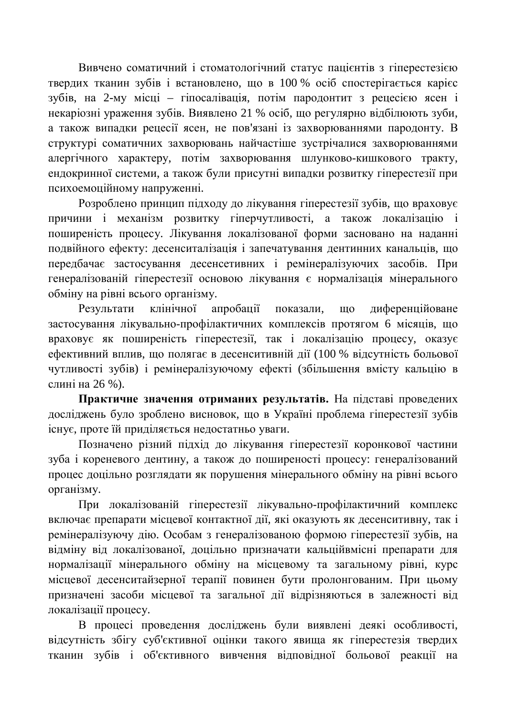Вивчено соматичний і стоматологічний статус пацієнтів з гіперестезією твердих тканин зубів і встановлено, що в 100 % осіб спостерігається карієс зубів, на 2-му місці – гіпосалівація, потім пародонтит з рецесією ясен і некаріозні ураження зубів. Виявлено 21 % осіб, що регулярно відбілюють зуби, а також випадки рецесії ясен, не пов'язані із захворюваннями пародонту. В структурі соматичних захворювань найчастіше зустрічалися захворюваннями алергічного характеру, потім захворювання шлунково-кишкового тракту, ендокринної системи, а також були присутні випадки розвитку гіперестезії при психоемоційному напруженні.

Розроблено принцип підходу до лікування гіперестезії зубів, що враховує причини і механізм розвитку гіперчутливості, а також локалізацію і поширеність процесу. Лікування локалізованої форми засновано на наданні подвійного ефекту: десенситалізація і запечатування дентинних канальців, що передбачає застосування десенсетивних і ремінералізуючих засобів. При генералізованій гіперестезії основою лікування є нормалізація мінерального обміну на рівні всього організму.

Результати клінічної апробації показали, що диференційоване застосування лікувально-профілактичних комплексів протягом 6 місяців, що враховує як поширеність гіперестезії, так і локалізацію процесу, оказує ефективний вплив, що полягає в десенситивній дії (100 % відсутність больової чутливості зубів) і ремінералізуючому ефекті (збільшення вмісту кальцію в слині на 26 %).

Практичне значення отриманих результатів. На підставі проведених досліджень було зроблено висновок, що в Україні проблема гіперестезії зубів існує, проте їй приділяється недостатньо уваги.

Позначено різний підхід до лікування гіперестезії коронкової частини зуба і кореневого дентину, а також до поширеності процесу: генералізований процес доцільно розглядати як порушення мінерального обміну на рівні всього організму.

При локалізованій гіперестезії лікувально-профілактичний комплекс включає препарати місцевої контактної дії, які оказують як десенситивну, так і ремінералізуючу дію. Особам з генералізованою формою гіперестезії зубів, на відміну від локалізованої, доцільно призначати кальційвмісні препарати для нормалізації мінерального обміну на місцевому та загальному рівні, курс місцевої десенситайзерної терапії повинен бути пролонгованим. При цьому призначені засоби місцевої та загальної дії відрізняються в залежності від локалізації процесу.

В процесі проведення досліджень були виявлені деякі особливості, відсутність збігу суб'єктивної оцінки такого явища як гіперестезія твердих тканин зубів і об'єктивного вивчення відповідної больової реакції на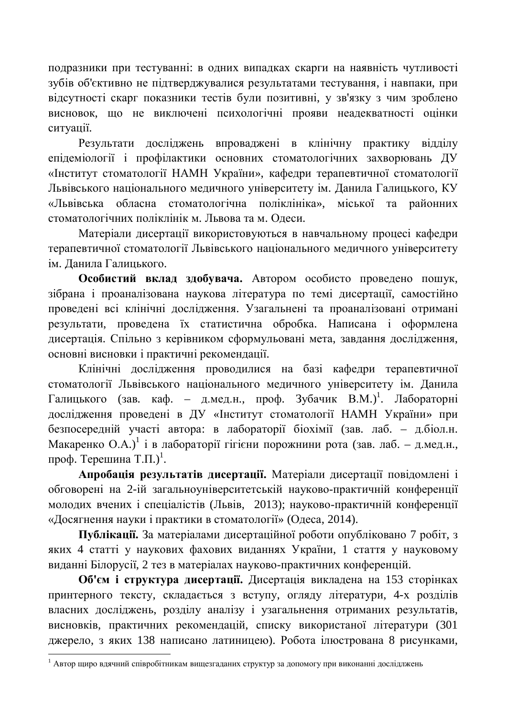подразники при тестуванні: в одних випадках скарги на наявність чутливості зубів об'єктивно не підтверджувалися результатами тестування, і навпаки, при відсутності скарг показники тестів були позитивні, у зв'язку з чим зроблено висновок, що не виключені психологічні прояви неадекватності оцінки ситуації.

Результати досліджень впроваджені в клінічну практику відділу епідеміології і профілактики основних стоматологічних захворювань ДУ «Інститут стоматології НАМН України», кафелри терапевтичної стоматології Львівського національного медичного університету ім. Данила Галицького, КУ «Львівська обласна стоматологічна поліклініка», міської та районних стоматологічних поліклінік м. Львова та м. Одеси.

Матеріали дисертації використовуються в навчальному процесі кафедри терапевтичної стоматології Львівського національного медичного університету ім. Данила Галицького.

Особистий вклад здобувача. Автором особисто проведено пошук, зібрана і проаналізована наукова література по темі дисертації, самостійно проведені всі клінічні дослідження. Узагальнені та проаналізовані отримані результати, проведена їх статистична обробка. Написана і оформлена дисертація. Спільно з керівником сформульовані мета, завдання дослідження, основні висновки і практичні рекомендації.

Клінічні дослідження проводилися на базі кафедри терапевтичної стоматології Львівського національного медичного університету ім. Данила Галицького (зав. каф. – д.мед.н., проф. Зубачик В.М.)<sup>1</sup>. Лабораторні дослідження проведені в ДУ «Інститут стоматології НАМН України» при безпосередній участі автора: в лабораторії біохімії (зав. лаб. – д.біол.н. Макаренко О.А.)<sup>1</sup> і в лабораторії гігієни порожнини рота (зав. лаб. – д.мед.н., проф. Терешина Т.П.)<sup>1</sup>.

Апробація результатів дисертації. Матеріали дисертації повідомлені і обговорені на 2-ій загально чніверситетській на уково-практичній конференції молодих вчених і спеціалістів (Львів, 2013); науково-практичній конференції «Досягнення науки і практики в стоматології» (Одеса, 2014).

Публікації. За матеріалами дисертаційної роботи опубліковано 7 робіт, з яких 4 статті у наукових фахових виданнях України, 1 стаття у науковому виданні Білорусії, 2 тез в матеріалах науково-практичних конференцій.

Об'єм і структура дисертації. Дисертація викладена на 153 сторінках принтерного тексту, складається з вступу, огляду літератури, 4-х розділів власних досліджень, розділу аналізу і узагальнення отриманих результатів, висновків, практичних рекомендацій, списку використаної літератури (301 джерело, з яких 138 написано латиницею). Робота ілюстрована 8 рисунками,

 $^1$  Автор щиро вдячний співробітникам вищезгаданих структур за допомогу при виконанні дослідлжень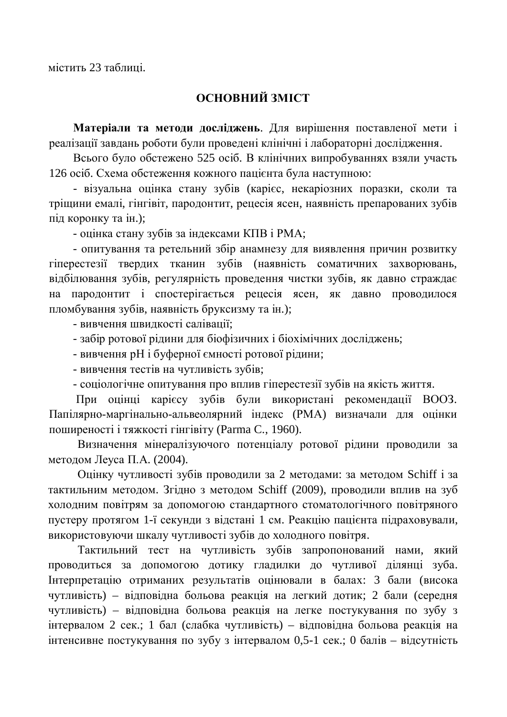містить 23 таблиці.

## **ОСНОВНИЙ ЗМІСТ**

Матеріали та методи досліджень. Для вирішення поставленої мети і реалізації завдань роботи були проведені клінічні і лабораторні дослідження.

Всього було обстежено 525 осіб. В клінічних випробуваннях взяли участь 126 осіб. Схема обстеження кожного пацієнта була наступною:

- візуальна оцінка стану зубів (карієс, некаріозних поразки, сколи та тріщини емалі, гінгівіт, пародонтит, рецесія ясен, наявність препарованих зубів під коронку та ін.);

- оцінка стану зубів за індексами КПВ і РМА;

- опитування та ретельний збір анамнезу для виявлення причин розвитку гіперестезії твердих тканин зубів (наявність соматичних захворювань, відбілювання зубів, регулярність проведення чистки зубів, як давно страждає на пародонтит і спостерігається рецесія ясен, як давно проводилося пломбування зубів, наявність бруксизму та ін.);

- вивчення швидкості салівації:

- забір ротової рідини для біофізичних і біохімічних досліджень;
- вивчення рН і буферної ємності ротової рідини;
- вивчення тестів на чутливість зубів;
- соціологічне опитування про вплив гіперестезії зубів на якість життя.

При оцінці карієсу зубів були використані рекомендації ВООЗ. Папілярно-маргінально-альвеолярний індекс (РМА) визначали для оцінки поширеності і тяжкості гінгівіту (Parma C., 1960).

Визначення мінералізуючого потенціалу ротової рідини проводили за методом Леуса П.А. (2004).

Оцінку чутливості зубів проводили за 2 методами: за методом Schiff і за тактильним методом. Згідно з методом Schiff (2009), проводили вплив на зуб холодним повітрям за допомогою стандартного стоматологічного повітряного пустеру протягом 1-ї секунди з відстані 1 см. Реакцію пацієнта підраховували, використовуючи шкалу чутливості зубів до холодного повітря.

Тактильний тест на чутливість зубів запропонований нами, який проводиться за допомогою дотику гладилки до чутливої ділянці зуба. Iнтерпретацію отриманих результатів оцінювали в балах: 3 бали (висока чутливість) – відповідна больова реакція на легкий дотик; 2 бали (середня чутливість) – відповідна больова реакція на легке постукування по зубу з інтервалом 2 сек.; 1 бал (слабка чутливість) – відповідна больова реакція на інтенсивне постукування по зубу з інтервалом 0,5-1 сек.; 0 балів – відсутність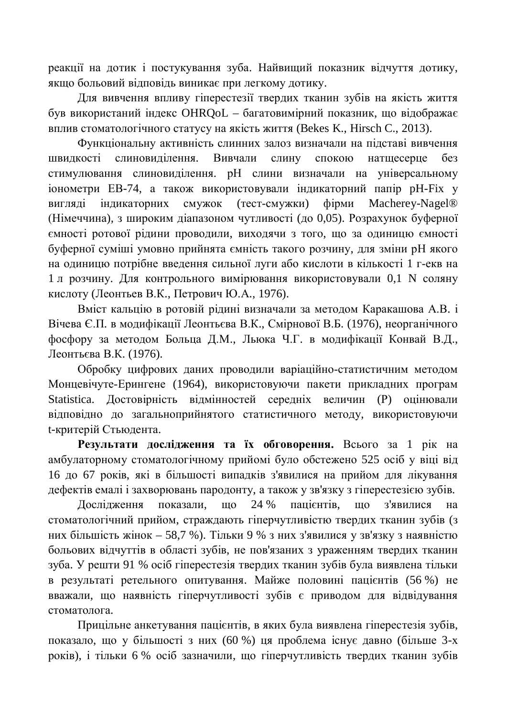реакції на дотик і постукування зуба. Найвищий показник відчуття дотику, якщо больовий відповідь виникає при легкому дотику.

Для вивчення впливу гіперестезії твердих тканин зубів на якість життя був використаний індекс OHRQoL – багатовимірний показник, що відображає вплив стоматологічного статусу на якість життя (Bekes K., Hirsch C., 2013).

Функціональну активність слинних залоз визначали на підставі вивчення швидкості слиновиділення. Вивчали слину спокою натщесерце без стимулювання слиновиділення. pH слини визначали на універсальному іонометри ЕВ-74, а також використовували індикаторний папір рН-Гіх у вигляді індикаторних смужок (тест-смужки) фірми Macherey-Nagel® (Німеччина), з широким діапазоном чутливості (до 0,05). Розрахунок буферної ємності ротової рідини проводили, виходячи з того, що за одиницю ємності буферної суміші умовно прийнята ємність такого розчину, для зміни рН якого на одиницю потрібне введення сильної луги або кислоти в кількості 1 г-екв на 1 л розчину. Для контрольного вимірювання використовували 0,1 N соляну кислоту (Леонтьев В.К., Петрович Ю.А., 1976).

Вміст кальцію в ротовій рідині визначали за методом Каракашова А.В. і Вічева Є.П. в модифікації Леонтьєва В.К., Смірнової В.Б. (1976), неорганічного фосфору за методом Больца Д.М., Льюка Ч.Г. в модифікації Конвай В.Д., Леонтьєва В.К. (1976).

Обробку цифрових даних проводили варіаційно-статистичним методом Монцевічуте-Ерингене (1964), використовуючи пакети прикладних програм Statistica. Достовірність відмінностей середніх величин (Р) оцінювали відповідно до загальноприйнятого статистичного методу, використовуючи t-критерій Стьюдента.

Результати дослідження та їх обговорення. Всього за 1 рік на амбулаторному стоматологічному прийомі було обстежено 525 осіб у віці від 16 до 67 років, які в більшості випадків з'явилися на прийом для лікування дефектів емалі і захворювань пародонту, а також у зв'язку з гіперестезією зубів.

Дослідження показали, що 24 % пацієнтів, що з'явилися на стоматологічний прийом, страждають гіперчутливістю твердих тканин зубів (з них більшість жінок – 58,7 %). Тільки 9 % з них з'явилися у зв'язку з наявністю больових відчуттів в області зубів, не пов'язаних з ураженням твердих тканин зуба. У решти 91 % осіб гіперестезія твердих тканин зубів була виявлена тільки в результаті ретельного опитування. Майже половині пацієнтів (56 %) не вважали, що наявність гіперчутливості зубів є приводом для відвідування стоматолога.

Прицільне анкетування пацієнтів, в яких була виявлена гіперестезія зубів, показало, що у більшості з них (60 %) ця проблема існує давно (більше 3-х років), і тільки 6 % осіб зазначили, що гіперчутливість твердих тканин зубів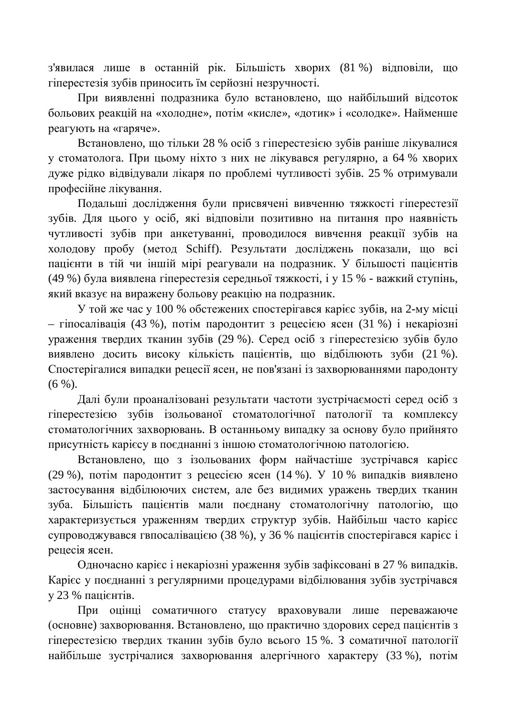з'явилася лише в останній рік. Більшість хворих (81 %) відповіли, що гіперестезія зубів приносить їм серйозні незручності.

При виявленні подразника було встановлено, що найбільший відсоток больових реакцій на «холодне», потім «кисле», «дотик» і «солодке». Найменше реагують на «гаряче».

Встановлено, що тільки 28 % осіб з гіперестезією зубів раніше лікувалися у стоматолога. При цьому ніхто з них не лікувався регулярно, а 64 % хворих дуже рідко відвідували лікаря по проблемі чутливості зубів. 25 % отримували професійне лікування.

Подальші дослідження були присвячені вивченню тяжкості гіперестезії зубів. Для цього у осіб, які відповіли позитивно на питання про наявність чутливості зубів при анкетуванні, проводилося вивчення реакції зубів на холодову пробу (метод Schiff). Результати досліджень показали, що всі пацієнти в тій чи іншій мірі реагували на подразник. У більшості пацієнтів (49 %) була виявлена гіперестезія середньої тяжкості, і у 15 % - важкий ступінь, який вказує на виражену больову реакцію на подразник.

У той же час у 100 % обстежених спостерігався карієс зубів, на 2-му місці – гіпосалівація (43 %), потім пародонтит з рецесією ясен (31 %) і некаріозні ураження твердих тканин зубів (29 %). Серед осіб з гіперестезією зубів було виявлено досить високу кількість пацієнтів, що відбілюють зуби (21 %). Спостерігалися випадки рецесії ясен, не пов'язані із захворюваннями пародонту  $(6 \%)$ .

Далі були проаналізовані результати частоти зустрічаємості серед осіб з гіперестезією зубів ізольованої стоматологічної патології та комплексу стоматологічних захворювань. В останньому випадку за основу було прийнято присутність карієсу в поєднанні з іншою стоматологічною патологією.

Встановлено, що з ізольованих форм найчастіше зустрічався карієс (29 %), потім пародонтит з рецесією ясен (14 %). У 10 % випадків виявлено застосування відбілюючих систем, але без видимих уражень твердих тканин зуба. Більшість пацієнтів мали поєднану стоматологічну патологію, що характеризується ураженням твердих структур зубів. Найбільш часто карієс супроводжувався гвпосалівацією (38 %), у 36 % пацієнтів спостерігався карієс і рецесія ясен.

Одночасно карієс і некаріозні ураження зубів зафіксовані в 27 % випадків. Карієс у поєднанні з регулярними процедурами відбілювання зубів зустрічався у 23 % пацієнтів.

При оцінці соматичного статусу враховували лише переважаюче (основне) захворювання. Встановлено, що практично здорових серед пацієнтів з гіперестезією твердих тканин зубів було всього 15 %. З соматичної патології найбільше зустрічалися захворювання алергічного характеру (33 %), потім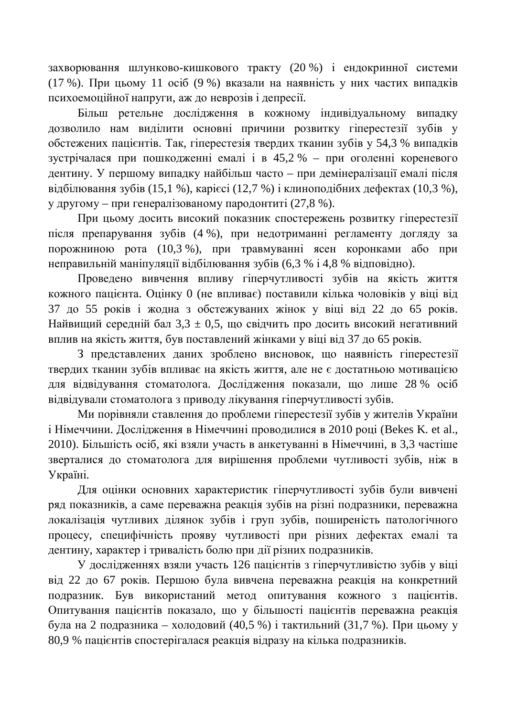захворювання шлунково-кишкового тракту (20 %) і ендокринної системи (17 %). При цьому 11 осіб (9 %) вказали на наявність у них частих випадків психоемоційної напруги, аж до неврозів і депресії.

Більш ретельне дослідження в кожному індивідуальному випадку дозволило нам виділити основні причини розвитку гіперестезії зубів у обстежених пацієнтів. Так, гіперестезія твердих тканин зубів у 54,3 % випадків зустрічалася при пошкодженні емалі і в 45,2 % – при оголенні кореневого дентину. У першому випалку найбільш часто – при демінералізації емалі після відбілювання зубів (15,1 %), карієсі (12,7 %) і клиноподібних дефектах (10,3 %), у другому – при генералізованому пародонтиті (27,8 %).

При цьому досить високий показник спостережень розвитку гіперестезії після препарування зубів (4 %), при недотриманні регламенту догляду за порожниною рота (10,3 %), при травмуванні ясен коронками або при неправильній маніпуляції відбілювання зубів (6,3 % і 4,8 % відповідно).

Проведено вивчення впливу гіперчутливості зубів на якість життя хожного пацієнта. Оцінку 0 (не впливає) поставили кілька чоловіків у віці від 37 до 55 років і жодна з обстежуваних жінок у віці від 22 до 65 років. Найвиший середній бал  $3.3 \pm 0.5$ , що свідчить про досить високий негативний вплив на якість життя, був поставлений жінками у віці від 37 до 65 років.

З представлених даних зроблено висновок, що наявність гіперестезії твердих тканин зубів впливає на якість життя, але не є достатньою мотивацією для відвідування стоматолога. Дослідження показали, що лише 28 % осіб відвідували стоматолога з приводу лікування гіперчутливості зубів.

Ми порівняли ставлення до проблеми гіперестезії зубів у жителів України і Німеччини. Дослідження в Німеччині проводилися в 2010 році (Bekes K. et al., 2010). Більшість осіб, які взяли участь в анкетуванні в Німеччині, в 3,3 частіше зверталися до стоматолога для вирішення проблеми чутливості зубів, ніж в Україні.

Для оцінки основних характеристик гіперчутливості зубів були вивчені ряд показників, а саме переважна реакція зубів на різні подразники, переважна локалізація чутливих ділянок зубів і груп зубів, поширеність патологічного процесу, специфічність прояву чутливості при різних дефектах емалі та дентину, характер і тривалість болю при дії різних подразників.

У дослідженнях взяли участь 126 пацієнтів з гіперчутливістю зубів у віці від 22 до 67 років. Першою була вивчена переважна реакція на конкретний подразник. Був використаний метод опитування кожного з пацієнтів. Опитування пацієнтів показало, що у більшості пацієнтів переважна реакція була на 2 подразника – холодовий (40,5 %) і тактильний (31,7 %). При цьому у 80,9 % пацієнтів спостерігалася реакція відразу на кілька подразників.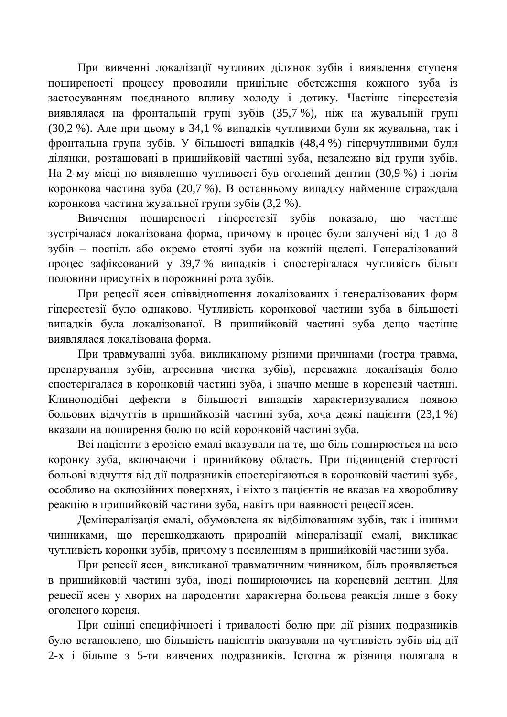При вивченні локалізації чутливих ділянок зубів і виявлення ступеня поширеності процесу проводили прицільне обстеження кожного зуба із застосуванням поєднаного впливу холоду і дотику. Частіше гіперестезія виявлялася на фронтальній групі зубів (35,7 %), ніж на жувальній групі (30,2 %). Але при цьому в 34,1 % випадків чутливими були як жувальна, так і фронтальна група зубів. У більшості випадків (48,4 %) гіперчутливими були ділянки, розташовані в пришийковій частині зуба, незалежно від групи зубів. На 2-му місці по виявленню чутливості був оголений дентин (30,9 %) і потім коронкова частина зуба (20,7 %). В останньому випадку найменше страждала коронкова частина жувальної групи зубів (3,2 %).

Вивчення поширеності гіперестезії зубів показало, що частіше зустрічалася локалізована форма, причому в процес були залучені від 1 до 8 зубів – поспіль або окремо стоячі зуби на кожній щелепі. Генералізований процес зафіксований у 39,7 % випадків і спостерігалася чутливість більш половини присутніх в порожнині рота зубів.

При рецесії ясен співвідношення локалізованих і генералізованих форм гіперестезії було однаково. Чутливість коронкової частини зуба в більшості випадків була локалізованої. В пришийковій частині зуба дещо частіше виявлялася локалізована форма.

При травмуванні зуба, викликаному різними причинами (гостра травма, препарування зубів, агресивна чистка зубів), переважна локалізація болю спостерігалася в коронковій частині зуба, і значно менше в кореневій частині. Клиноподібні дефекти в більшості випадків характеризувалися появою больових відчуттів в пришийковій частині зуба, хоча деякі пацієнти (23,1 %) вказали на поширення болю по всій коронковій частині зуба.

Всі пацієнти з ерозією емалі вказували на те, що біль поширюється на всю коронку зуба, включаючи і принийкову область. При підвищеній стертості больові відчуття від дії подразників спостерігаються в коронковій частині зуба, особливо на оклюзійних поверхнях, і ніхто з пацієнтів не вказав на хворобливу реакцію в пришийковій частини зуба, навіть при наявності рецесії ясен.

Демінералізація емалі, обумовлена як відбілюванням зубів, так і іншими чинниками, що перешкоджають природній мінералізації емалі, викликає чутливість коронки зубів, причому з посиленням в пришийковій частини зуба.

При рецесії ясен викликаної травматичним чинником, біль проявляється в пришийковій частині зуба, іноді поширюючись на кореневий дентин. Для рецесії ясен у хворих на пародонтит характерна больова реакція лише з боку оголеного кореня.

При оцінці специфічності і тривалості болю при дії різних подразників було встановлено, що більшість пацієнтів вказували на чутливість зубів від дії 2-х і більше з 5-ти вивчених подразників. Істотна ж різниця полягала в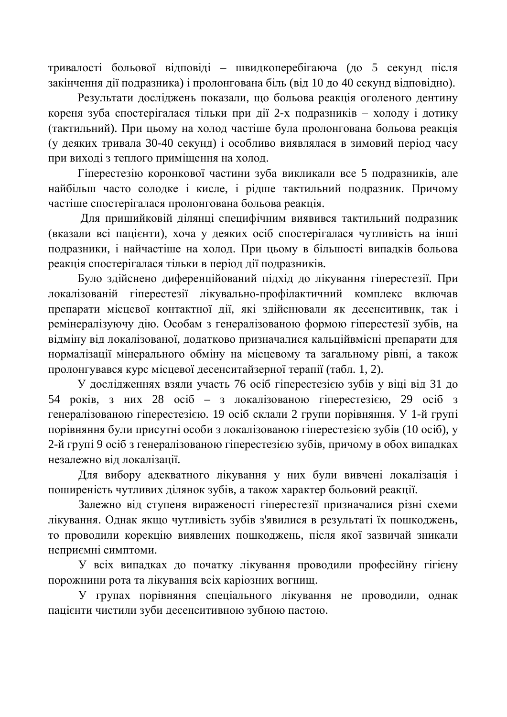тривалості больової відповіді – швидкоперебігаюча (до 5 секунд після закінчення дії подразника) і пролонгована біль (від 10 до 40 секунд відповідно).

Результати досліджень показали, що больова реакція оголеного дентину кореня зуба спостерігалася тільки при дії 2-х подразників – холоду і дотику (тактильний). При цьому на холод частіше була пролонгована больова реакція (у деяких тривала 30-40 секунд) і особливо виявлялася в зимовий період часу при виході з теплого приміщення на холод.

Гіперестезію коронкової частини зуба викликали все 5 подразників, але найбільш часто солодке і кисле, і рідше тактильний подразник. Причому частіше спостерігалася пролонгована больова реакція.

Для пришийковій ділянці специфічним виявився тактильний подразник (вказали всі пацієнти), хоча у деяких осіб спостерігалася чутливість на інші подразники, і найчастіше на холод. При цьому в більшості випадків больова реакція спостерігалася тільки в період дії подразників.

Було здійснено диференційований підхід до лікування гіперестезії. При локалізованій гіперестезії лікувально-профілактичний комплекс включав препарати місцевої контактної дії, які здійснювали як десенситивнк, так і ремінералізуючу лію. Особам з генералізованою формою гіперестезії зубів, на відміну від локалізованої, додатково призначалися кальційвмісні препарати для нормалізації мінерального обміну на місцевому та загальному рівні, а також пролонгувався курс місцевої десенситайзерної терапії (табл. 1, 2).

У дослідженнях взяли участь 76 осіб гіперестезією зубів у віці від 31 до 54 років, з них 28  $\alpha$ сіб – з локалізованою гіперестезією, 29  $\alpha$ сіб з генералізованою гіперестезією. 19 осіб склали 2 групи порівняння. У 1-й групі порівняння були присутні особи з локалізованою гіперестезією зубів (10 осіб), у 2-й групі 9 осіб з генералізованою гіперестезією зубів, причому в обох випадках незалежно від локалізації.

Для вибору адекватного лікування у них були вивчені локалізація і поширеність чутливих ділянок зубів, а також характер больовий реакції.

Залежно від ступеня вираженості гіперестезії призначалися різні схеми лікування. Однак якщо чутливість зубів з'явилися в результаті їх пошкоджень, то проводили корекцію виявлених пошкоджень, після якої зазвичай зникали неприємні симптоми.

У всіх випадках до початку лікування проводили професійну гігієну порожнини рота та лікування всіх каріозних вогнищ.

У групах порівняння спеціального лікування не проводили, однак пацієнти чистили зуби десенситивною зубною пастою.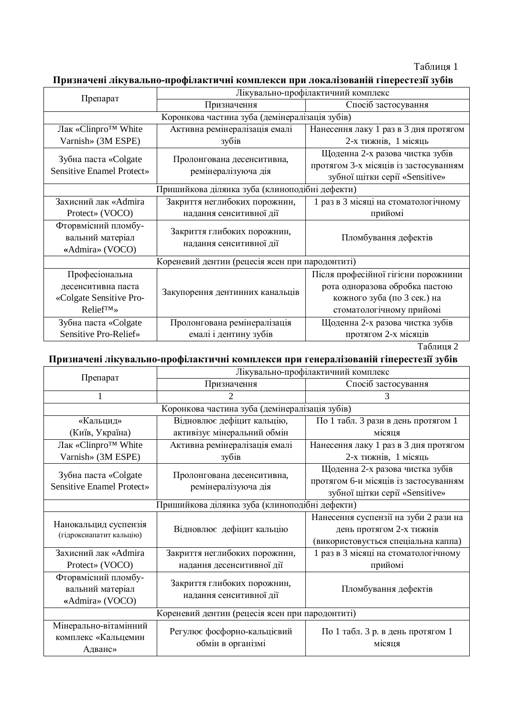Призначені лікувально-профілактичні комплекси при локалізованій гіперестезії зубів

|                                                            | Лікувально-профілактичний комплекс                     |                                                                                                            |  |  |
|------------------------------------------------------------|--------------------------------------------------------|------------------------------------------------------------------------------------------------------------|--|--|
| Препарат                                                   | Призначення                                            | Спосіб застосування                                                                                        |  |  |
| Коронкова частина зуба (демінералізація зубів)             |                                                        |                                                                                                            |  |  |
| Лак «Clinpro <sup>™</sup> White                            | Активна ремінералізація емалі                          | Нанесення лаку 1 раз в 3 дня протягом                                                                      |  |  |
| Varnish» (3M ESPE)                                         | зубів                                                  | 2-х тижнів, 1 місяць                                                                                       |  |  |
| Зубна паста «Colgate<br><b>Sensitive Enamel Protect»</b>   | Пролонгована десенситивна,<br>ремінералізуюча дія      | Щоденна 2-х разова чистка зубів<br>протягом 3-х місяців із застосуванням<br>зубної щітки серії «Sensitive» |  |  |
| Пришийкова ділянка зуба (клиноподібні дефекти)             |                                                        |                                                                                                            |  |  |
| Захисний лак «Admira                                       | Закриття неглибоких порожнин,                          | 1 раз в 3 місяці на стоматологічному                                                                       |  |  |
| Protect» (VOCO)                                            | надання сенситивної дії                                | прийомі                                                                                                    |  |  |
| Фторвмісний пломбу-<br>вальний матеріал<br>«Admira» (VOCO) | Закриття глибоких порожнин,<br>надання сенситивної дії | Пломбування дефектів                                                                                       |  |  |
| Кореневий дентин (рецесія ясен при пародонтиті)            |                                                        |                                                                                                            |  |  |
| Професіональна                                             |                                                        | Після професійної гігієни порожнини                                                                        |  |  |
| десенситивна паста                                         | Закупорення дентинних канальців                        | рота одноразова обробка пастою                                                                             |  |  |
| «Colgate Sensitive Pro-                                    |                                                        | кожного зуба (по 3 сек.) на                                                                                |  |  |
| Relief™»                                                   |                                                        | стоматологічному прийомі                                                                                   |  |  |
| Зубна паста «Colgate                                       | Пролонгована ремінералізація                           | Щоденна 2-х разова чистка зубів                                                                            |  |  |
| Sensitive Pro-Relief»                                      | емалі і дентину зубів                                  | протягом 2-х місяців                                                                                       |  |  |

Таблиця 2

Призначені лікувально-профілактичні комплекси при генералізованій гіперестезії зубів

| Препарат                                                 | Лікувально-профілактичний комплекс                     |                                       |  |  |
|----------------------------------------------------------|--------------------------------------------------------|---------------------------------------|--|--|
|                                                          | Призначення                                            | Спосіб застосування                   |  |  |
|                                                          | $\mathcal{D}_{\cdot}$                                  | 3                                     |  |  |
| Коронкова частина зуба (демінералізація зубів)           |                                                        |                                       |  |  |
| «Кальцид»                                                | Відновлює дефіцит кальцію,                             | По 1 табл. 3 рази в день протягом 1   |  |  |
| (Київ, Україна)                                          | активізує мінеральний обмін                            | місяця                                |  |  |
| Лак «Clinpro <sup>™</sup> White                          | Активна ремінералізація емалі                          | Нанесення лаку 1 раз в 3 дня протягом |  |  |
| Varnish» (3M ESPE)                                       | зубів                                                  | 2-х тижнів, 1 місяць                  |  |  |
| Зубна паста «Colgate<br><b>Sensitive Enamel Protect»</b> | Пролонгована десенситивна,<br>ремінералізуюча дія      | Щоденна 2-х разова чистка зубів       |  |  |
|                                                          |                                                        | протягом 6-и місяців із застосуванням |  |  |
|                                                          |                                                        | зубної щітки серії «Sensitive»        |  |  |
| Пришийкова ділянка зуба (клиноподібні дефекти)           |                                                        |                                       |  |  |
| Нанокальцид суспензія<br>(гідроксиапатит кальцію)        | Відновлює дефіцит кальцію                              | Нанесення суспензії на зуби 2 рази на |  |  |
|                                                          |                                                        | день протягом 2-х тижнів              |  |  |
|                                                          |                                                        | (використовується спеціальна каппа)   |  |  |
| Захисний лак «Admira                                     | Закриття неглибоких порожнин,                          | 1 раз в 3 місяці на стоматологічному  |  |  |
| Protect» (VOCO)                                          | надання десенситивної дії                              | прийомі                               |  |  |
| Фторвмісний пломбу-                                      | Закриття глибоких порожнин,<br>надання сенситивної дії |                                       |  |  |
| вальний матеріал                                         |                                                        | Пломбування дефектів                  |  |  |
| «Admira» (VOCO)                                          |                                                        |                                       |  |  |
| Кореневий дентин (рецесія ясен при пародонтиті)          |                                                        |                                       |  |  |
| Мінерально-вітамінний                                    | Регулює фосфорно-кальцієвий<br>обмін в організмі       | По 1 табл. 3 р. в день протягом 1     |  |  |
| комплекс «Кальцемин                                      |                                                        | місяця                                |  |  |
| Адванс»                                                  |                                                        |                                       |  |  |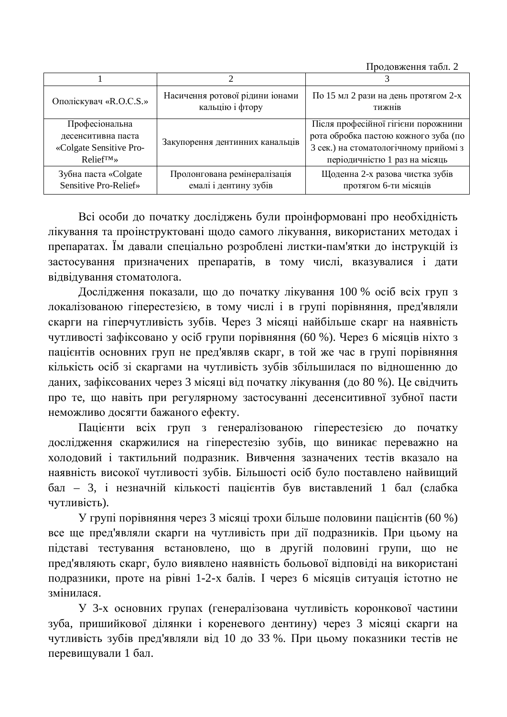Продовження табл. 2

| Ополіскувач «R.O.C.S.»                                                           | Насичення ротової рідини іонами<br>кальцію і фтору    | По 15 мл 2 рази на день протягом 2-х<br><b>ТИЖН1В</b>                                                                                                 |
|----------------------------------------------------------------------------------|-------------------------------------------------------|-------------------------------------------------------------------------------------------------------------------------------------------------------|
| Професіональна<br>десенситивна паста<br>«Colgate Sensitive Pro-<br>$Relief^{TM}$ | Закупорення дентинних канальців                       | Після професійної гігієни порожнини<br>рота обробка пастою кожного зуба (по<br>3 сек.) на стоматологічному прийомі з<br>періодичністю 1 раз на місяць |
| Зубна паста «Colgate<br>Sensitive Pro-Relief»                                    | Пролонгована ремінералізація<br>емалі і дентину зубів | Щоденна 2-х разова чистка зубів<br>протягом 6-ти місяців                                                                                              |

Всі особи до початку досліджень були проінформовані про необхідність лікування та проінструктовані щодо самого лікування, використаних методах і препаратах. Їм давали спеціально розроблені листки-пам'ятки до інструкцій із застосування призначених препаратів, в тому числі, вказувалися і дати відвідування стоматолога.

Дослідження показали, що до початку лікування 100 % осіб всіх груп з локалізованою гіперестезією, в тому числі і в групі порівняння, пред'являли скарги на гіперчутливість зубів. Через 3 місяці найбільше скарг на наявність чутливості зафіксовано у осіб групи порівняння (60 %). Через 6 місяців ніхто з пацієнтів основних груп не пред'являв скарг, в той же час в групі порівняння кількість осіб зі скаргами на чутливість зубів збільшилася по відношенню до даних, зафіксованих через 3 місяці від початку лікування (до 80 %). Це свідчить про те, що навіть при регулярному застосуванні десенситивної зубної пасти неможливо досягти бажаного ефекту.

Пацієнти всіх груп з генералізованою гіперестезією до початку дослідження скаржилися на гіперестезію зубів, що виникає переважно на холодовий і тактильний подразник. Вивчення зазначених тестів вказало на наявність високої чутливості зубів. Більшості осіб було поставлено найвищий бал – 3, і незначній кількості пацієнтів був виставлений 1 бал (слабка чутливість).

У групі порівняння через 3 місяці трохи більше половини пацієнтів (60 %) все ще пред'являли скарги на чутливість при дії подразників. При цьому на підставі тестування встановлено, що в другій половині групи, що не пред'являють скарг, було виявлено наявність больової відповіді на використані подразники, проте на рівні 1-2-х балів. І через 6 місяців ситуація істотно не змінипася.

У 3-х основних групах (генералізована чутливість коронкової частини зуба, пришийкової ділянки і кореневого дентину) через 3 місяці скарги на чутливість зубів пред'являли від 10 до 33 %. При цьому показники тестів не перевищували 1 бал.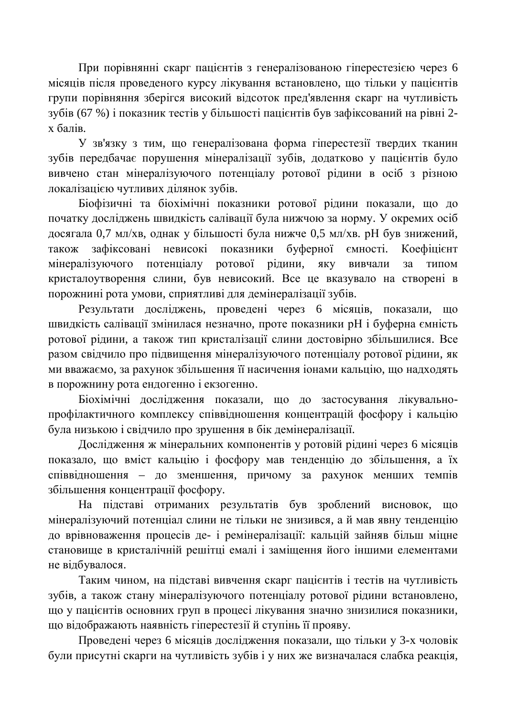При порівнянні скарг пацієнтів з генералізованою гіперестезією через 6 місяців після проведеного курсу лікування встановлено, що тільки у пацієнтів групи порівняння зберігся високий відсоток пред'явлення скарг на чутливість зубів (67 %) і показник тестів у більшості пацієнтів був зафіксований на рівні 2 $x$  балів.

У зв'язку з тим, що генералізована форма гіперестезії твердих тканин зубів передбачає порушення мінералізації зубів, додатково у пацієнтів було вивчено стан мінералізуючого потенціалу ротової рідини в осіб з різною локалізацією чутливих ділянок зубів.

Біофізичні та біохімічні показники ротової рідини показали, що до початку досліджень швидкість салівації була нижчою за норму. У окремих осіб досягала 0,7 мл/хв, однак у більшості була нижче 0,5 мл/хв. рН був знижений, також зафіксовані невисокі показники буферної ємності. Коефіцієнт мінералізуючого потенціалу ротової рідини, яку вивчали за типом кристалоутворення слини, був невисокий. Все це вказувало на створені в порожнині рота умови, сприятливі для демінералізації зубів.

Результати досліджень, проведені через 6 місяців, показали, що швидкість салівації змінилася незначно, проте показники рН і буферна ємність ротової рідини, а також тип кристалізації слини достовірно збільшилися. Все разом свідчило про підвищення мінералізуючого потенціалу ротової рідини, як ми вважаємо, за рахунок збільшення її насичення іонами кальцію, що надходять в порожнину рота ендогенно і екзогенно.

Біохімічні дослідження показали, що до застосування лікувальнопрофілактичного комплексу співвідношення концентрацій фосфору і кальцію була низькою і свідчило про зрушення в бік демінералізації.

Дослідження ж мінеральних компонентів у ротовій рідині через 6 місяців показало, що вміст кальцію і фосфору мав тенденцію до збільшення, а їх співвідношення – до зменшення, причому за рахунок менших темпів збільшення концентрації фосфору.

На підставі отриманих результатів був зроблений висновок, що мінералізуючий потенціал слини не тільки не знизився, а й мав явну тенденцію до врівноваження процесів де- і ремінералізації: кальцій зайняв більш міцне становище в кристалічній решітці емалі і заміщення його іншими елементами не відбувалося.

Таким чином, на підставі вивчення скарг пацієнтів і тестів на чутливість зубів, а також стану мінералізуючого потенціалу ротової рідини встановлено, що у пацієнтів основних груп в процесі лікування значно знизилися показники, що відображають наявність гіперестезії й ступінь її прояву.

Проведені через 6 місяців дослідження показали, що тільки у 3-х чоловік були присутні скарги на чутливість зубів і у них же визначалася слабка реакція,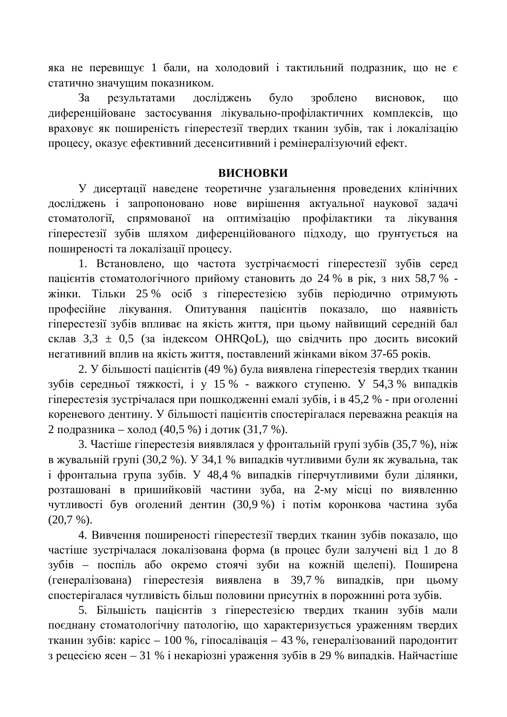яка не перевищує 1 бали, на холодовий і тактильний подразник, що не є статично значущим показником.

За результатами досліджень було зроблено висновок, що диференційоване застосування лікувально-профілактичних комплексів, що враховує як поширеність гіперестезії твердих тканин зубів, так і локалізацію процесу, оказує ефективний десенситивний і ремінералізуючий ефект.

### **ВИСНОВКИ**

У дисертації наведене теоретичне узагальнення проведених клінічних досліджень і запропоновано нове вирішення актуальної наукової задачі стоматології, спрямованої на оптимізацію профілактики та лікування гіперестезії зубів шляхом диференційованого підходу, що ґрунтується на поширеності та локалізації процесу.

1. Встановлено, що частота зустрічаємості гіперестезії зубів серед пацієнтів стоматологічного прийому становить до 24 % в рік, з них 58,7 % жінки. Тільки 25 % осіб з гіперестезією зубів періодично отримують професійне лікування. Опитування пацієнтів показало, що наявність гіперестезії зубів впливає на якість життя, при цьому найвищий середній бал склав  $3,3 \pm 0.5$  (за індексом OHRQoL), що свідчить про досить високий негативний вплив на якість життя, поставлений жінками віком 37-65 років.

2. У більшості пацієнтів (49 %) була виявлена гіперестезія твердих тканин зубів середньої тяжкості, і у 15 % - важкого ступеню. У 54,3 % випадків гіперестезія зустрічалася при пошкодженні емалі зубів, і в 45,2 % - при оголенні кореневого дентину. У більшості пацієнтів спостерігалася переважна реакція на 2 подразника – холод (40,5 %) і дотик (31,7 %).

3. Частіше гіперестезія виявлялася у фронтальній групі зубів (35,7 %), ніж в жувальній групі (30,2 %). У 34,1 % випадків чутливими були як жувальна, так i фронтальна група зубів. У 48,4 % випадків гіперчутливими були ділянки, розташовані в пришийковій частини зуба, на 2-му місці по виявленню чутливості був оголений дентин (30,9 %) і потім коронкова частина зуба  $(20,7 \%)$ .

4. Вивчення поширеності гіперестезії твердих тканин зубів показало, що частіше зустрічалася локалізована форма (в процес були залучені від 1 до 8 зубів – поспіль або окремо стоячі зуби на кожній щелепі). Поширена  $(rehepa\text{triso}an\text{a})$  гіперестезія виявлена в 39,7 % випадків, при цьому спостерігалася чутливість більш половини присутніх в порожнині рота зубів.

5. Більшість пацієнтів з гіперестезією твердих тканин зубів мали поєднану стоматологічну патологію, що характеризується ураженням твердих тканин зубів: карієс – 100 %, гіпосалівація – 43 %, генералізований пародонтит з рецесією ясен – 31 % і некаріозні ураження зубів в 29 % випадків. Найчастіше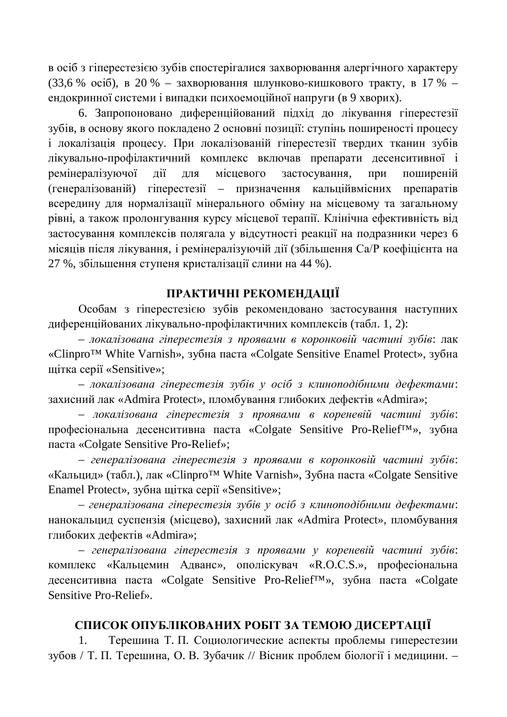в осіб з гіперестезією зубів спостерігалися захворювання алергічного характеру (33,6 % oció), в 20 % – захворювання шлунково-кишкового тракту, в 17 % – ендокринної системи і випадки психоемоційної напруги (в 9 хворих).

6. Запропоновано диференційований підхід до лікування гіперестезії зубів, в основу якого покладено 2 основні позиції: ступінь поширеності процесу і локалізація процесу. При локалізованій гіперестезії твердих тканин зубів лікувально-профілактичний комплекс включав препарати десенситивної і ремінералізуючої лії лля місцевого застосування, при поширеній (генералізованій) гіперестезії – призначення кальційвмісних препаратів всередину для нормалізації мінерального обміну на місцевому та загальному рівні, а також пролонгування курсу місцевої терапії. Клінічна ефективність від застосування комплексів полягала у відсутності реакції на подразники через 6 місяців після лікування, і ремінералізуючій дії (збільшення Са/Р коефіцієнта на 27 %, збільшення ступеня кристалізації слини на 44 %).

## **ɉɊȺɄɌɂɑɇȱɊȿɄɈɆȿɇȾȺɐȱȲ**

Особам з гіперестезією зубів рекомендовано застосування наступних диференційованих лікувально-профілактичних комплексів (табл. 1, 2):

– локалізована гіперестезія з проявами в коронковій частині зубів: лак «Clinpro<sup>™</sup> White Varnish», зубна паста «Colgate Sensitive Enamel Protect», зубна щітка серії «Sensitive»;

– локалізована гіперестезія зубів у осіб з клиноподібними дефектами: захисний лак «Admira Protect», пломбування глибоких дефектів «Admira»;

– локалізована гіперестезія з проявами в кореневій частині зубів: професіональна десенситивна паста «Colgate Sensitive Pro-Relief™», зубна паста «Colgate Sensitive Pro-Relief»;

– генералізована гіперестезія з проявами в коронковій частині зубів: «Кальцид» (табл.), лак «Clinpro<sup>™</sup> White Varnish», Зубна паста «Colgate Sensitive Enamel Protect», зубна шітка серії «Sensitive»;

– генералізована гіперестезія зубів у осіб з клиноподібними дефектами: нанокальцид суспензія (місцево), захисний лак «Admira Protect», пломбування глибоких дефектів «Admira»;

– генералізована гіперестезія з проявами у кореневій частині зубів: комплекс «Кальцемин Адванс», ополіскувач «R.O.C.S.», професіональна десенситивна паста «Colgate Sensitive Pro-Relief™», зубна паста «Colgate Sensitive Pro-Relief».

## СПИСОК ОПУБЛІКОВАНИХ РОБІТ ЗА ТЕМОЮ ДИСЕРТАЦІЇ

1. Терешина Т. П. Социологические аспекты проблемы гиперестезии зубов / Т. П. Терешина, О. В. Зубачик // Вісник проблем біології і медицини. -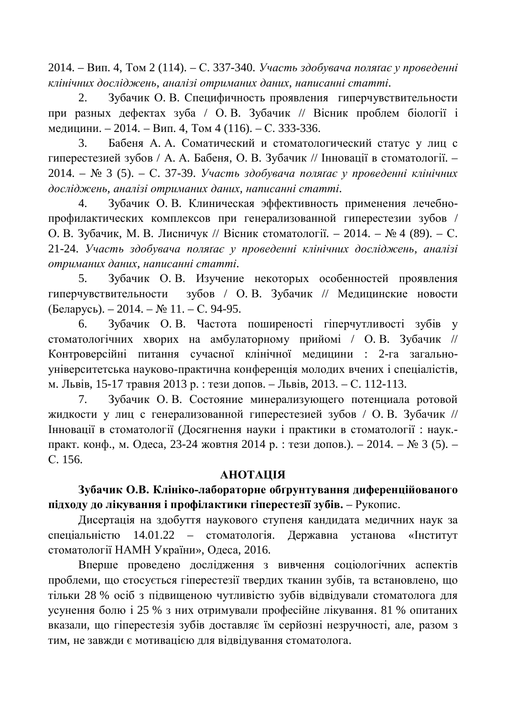2014. – Вип. 4, Том 2 (114). – С. 337-340. *Участь здобувача полятає у проведенні* клінічних досліджень, аналізі отриманих даних, написанні статті.

2. Зубачик О. В. Специфичность проявления гиперчувствительности при разных дефектах зуба / О.В. Зубачик // Вісник проблем біології і медицини. – 2014. – Вип. 4, Том 4 (116). – С. 333-336.

3. Бабеня А. А. Соматический и стоматологический статус у лиц с гиперестезией зубов / А. А. Бабеня, О. В. Зубачик // Інновації в стоматології. -2014. – № 3 (5). – С. 37-39. Участь здобувача полятає у проведенні клінічних  $\partial$ осліджень, аналізі отриманих даних, написанні статті.

4. Зубачик О.В. Клиническая эффективность применения лечебнопрофилактических комплексов при генерализованной гиперестезии зубов / О. В. Зубачик, М. В. Лисничук // Вісник стоматології. – 2014. – № 4 (89). – С. 21-24. Участь здобувача полятає у проведенні клінічних досліджень, аналізі  $\delta$ *отриманих даних, написанні статті.* 

5. Зубачик О.В. Изучение некоторых особенностей проявления гиперчувствительности зубов / О.В. Зубачик // Медицинские новости  $($ Беларусь). – 2014. – № 11. – С. 94-95.

6. Зубачик О. В. Частота поширеності гіперчутливості зубів у стоматологічних хворих на амбулаторному прийомі / О.В. Зубачик // Контроверсійні питання сучасної клінічної медицини : 2-га загальноуніверситетська науково-практична конференція молодих вчених і спеціалістів. м. Львів, 15-17 травня 2013 р. : тези допов. – Львів, 2013. – С. 112-113.

7. Зубачик О.В. Состояние минерализующего потенциала ротовой жидкости у лиц с генерализованной гиперестезией зубов / О.В. Зубачик // Інновації в стоматології (Досягнення науки і практики в стоматології: наук.практ. конф., м. Одеса, 23-24 жовтня 2014 р. : тези допов.). – 2014. – № 3 (5). – ɋ. 156.

## **AHOTALIJA**

# Зубачик О.В. Клініко-лабораторне обґрунтування диференційованого підходу до лікування і профілактики гіперестезії зубів. – Рукопис.

Дисертація на здобуття наукового ступеня кандидата медичних наук за спеціальністю 14.01.22 – стоматологія. Державна установа «Інститут стоматології НАМН України», Одеса, 2016.

Вперше проведено дослідження з вивчення соціологічних аспектів проблеми, що стосується гіперестезії твердих тканин зубів, та встановлено, що тільки 28 % осіб з підвищеною чутливістю зубів відвідували стоматолога для усунення болю і 25 % з них отримували професійне лікування. 81 % опитаних вказали, що гіперестезія зубів доставляє їм серйозні незручності, але, разом з тим, не завжди є мотивацією для відвідування стоматолога.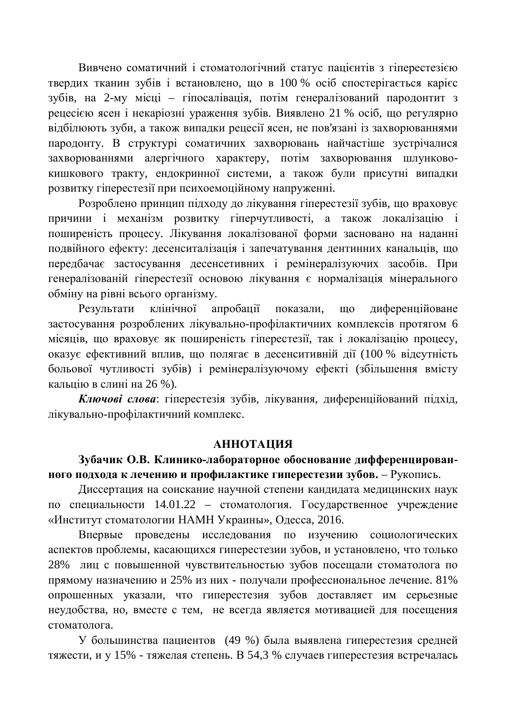Вивчено соматичний і стоматологічний статус пацієнтів з гіперестезією твердих тканин зубів і встановлено, що в 100 % осіб спостерігається карієс зубів, на 2-му місці – гіпосалівація, потім генералізований пародонтит з рецесією ясен і некаріозні ураження зубів. Виявлено 21 % осіб, що регулярно відбілюють зуби, а також випадки рецесії ясен, не пов'язані із захворюваннями пародонту. В структурі соматичних захворювань найчастіше зустрічалися захворюваннями алергічного характеру, потім захворювання шлунковокишкового тракту, ендокринної системи, а також були присутні випадки розвитку гіперестезії при психоемоційному напруженні.

Розроблено принцип підходу до лікування гіперестезії зубів, що враховує причини і механізм розвитку гіперчутливості, а також локалізацію і поширеність процесу. Лікування локалізованої форми засновано на наданні подвійного ефекту: десенситалізація і запечатування дентинних канальців, що передбачає застосування десенсетивних і ремінералізуючих засобів. При генералізованій гіперестезії основою лікування є нормалізація мінерального обміну на рівні всього організму.

Результати клінічної апробації показали, що диференційоване застосування розроблених лікувально-профілактичних комплексів протягом 6 місяців, що враховує як поширеність гіперестезії, так і локалізацію процесу, оказує ефективний вплив, що полягає в десенситивній дії (100 % відсутність больової чутливості зубів) і ремінералізуючому ефекті (збільшення вмісту кальцію в слині на 26 %).

Ключові слова: гіперестезія зубів, лікування, диференційований підхід, лікувально-профілактичний комплекс.

#### **МИЛАТОННА**

## Зубачик О.В. Клинико-лабораторное обоснование дифференцирован**ного подхода к лечению и профилактике гиперестезии зубов.** – Рукопись.

Диссертация на соискание научной степени кандидата медицинских наук по специальности 14.01.22 – стоматология. Государственное учреждение «Институт стоматологии НАМН Украины», Одесса, 2016.

Впервые проведены исследования по изучению социологических аспектов проблемы, касающихся гиперестезии зубов, и установлено, что только 28% лиц с повышенной чувствительностью зубов посещали стоматолога по прямому назначению и 25% из них - получали профессиональное лечение. 81% опрошенных указали, что гиперестезия зубов доставляет им серьезные неудобства, но, вместе с тем, не всегда является мотивацией для посещения стоматолога.

У большинства пациентов (49 %) была выявлена гиперестезия средней тяжести, и у 15% - тяжелая степень. В 54,3 % случаев гиперестезия встречалась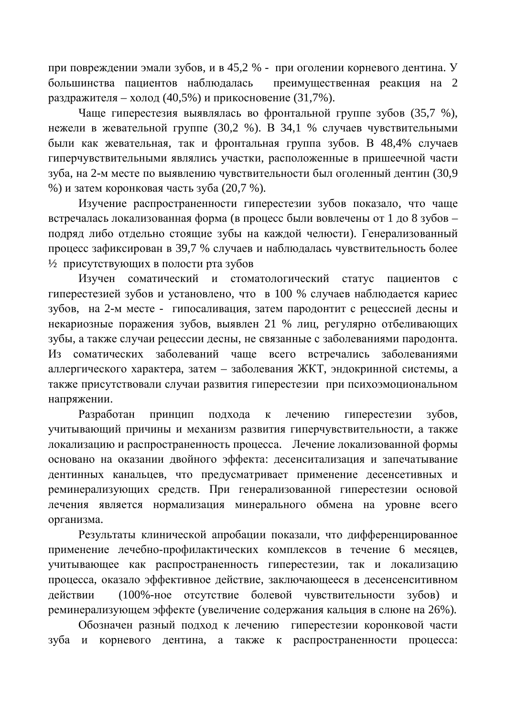при повреждении эмали зубов, и в 45,2 % - при оголении корневого дентина. У большинства пациентов наблюдалась преимущественная реакция на 2 раздражителя – холод (40.5%) и прикосновение (31.7%).

Чаще гиперестезия выявлялась во фронтальной группе зубов (35,7 %), нежели в жевательной группе (30,2 %). В 34,1 % случаев чувствительными были как жевательная, так и фронтальная группа зубов. В 48,4% случаев гиперчувствительными являлись участки, расположенные в пришеечной части зуба, на 2-м месте по выявлению чувствительности был оголенный дентин (30,9 %) и затем коронковая часть зуба  $(20,7,8)$ .

Изучение распространенности гиперестезии зубов показало, что чаще встречалась локализованная форма (в процесс были вовлечены от 1 до 8 зубов – подряд либо отдельно стоящие зубы на каждой челюсти). Генерализованный процесс зафиксирован в 39,7 % случаев и наблюдалась чувствительность более  $\frac{1}{2}$  присутствующих в полости рта зубов

Изучен соматический и стоматологический статус пациентов с гиперестезией зубов и установлено, что в 100 % случаев наблюдается кариес зубов, на 2-м месте - гипосаливация, затем пародонтит с рецессией десны и некариозные поражения зубов, выявлен 21 % лиц, регулярно отбеливающих зубы, а также случаи рецессии десны, не связанные с заболеваниями пародонта. Из соматических заболеваний чаще всего встречались заболеваниями аллергического характера, затем – заболевания ЖКТ, эндокринной системы, а также присутствовали случаи развития гиперестезии при психоэмоциональном напряжении.

Разработан принцип подхода к лечению гиперестезии зубов, учитывающий причины и механизм развития гиперчувствительности, а также локализацию и распространенность процесса. Лечение локализованной формы основано на оказании двойного эффекта: десенситализация и запечатывание дентинных канальцев, что предусматривает применение десенсетивных и реминерализующих средств. При генерализованной гиперестезии основой лечения является нормализация минерального обмена на уровне всего организма.

Результаты клинической апробации показали, что дифференцированное применение лечебно-профилактических комплексов в течение 6 месяцев, учитывающее как распространенность гиперестезии, так и локализацию процесса, оказало эффективное действие, заключающееся в десенсенситивном действии (100%-ное отсутствие болевой чувствительности зубов) и реминерализующем эффекте (увеличение содержания кальция в слюне на 26%).

Обозначен разный подход к лечению гиперестезии коронковой части зуба и корневого дентина, а также к распространенности процесса: